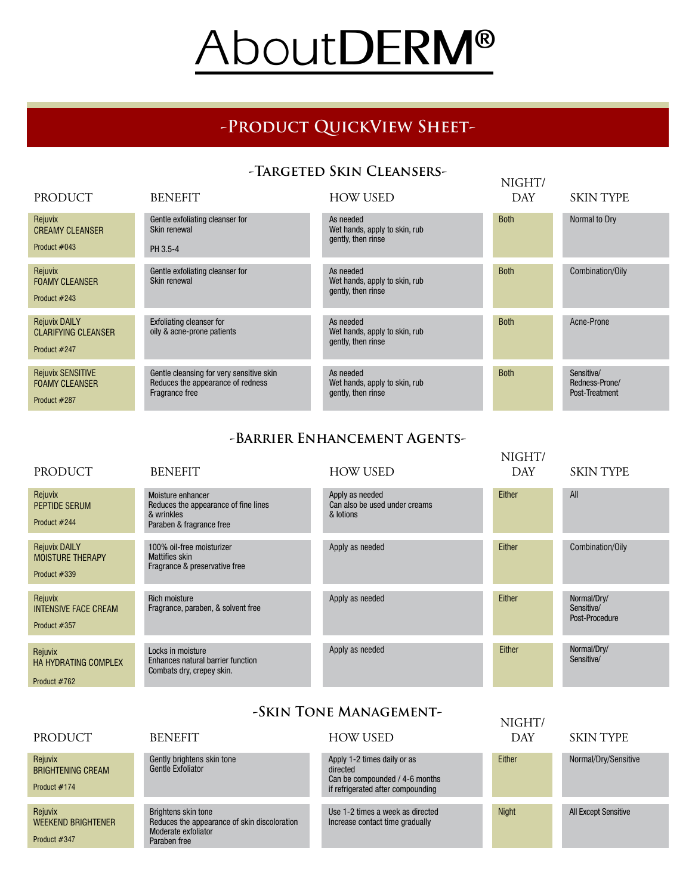# About**DERM®**

# **-Product QuickView Sheet-**

### **-Targeted Skin Cleansers-**

| <b>PRODUCT</b>                                                     | <b>BENEFIT</b>                                                                                  | <b>HOW USED</b>                                                  | NIGHT/<br><b>DAY</b> | <b>SKIN TYPE</b>                               |
|--------------------------------------------------------------------|-------------------------------------------------------------------------------------------------|------------------------------------------------------------------|----------------------|------------------------------------------------|
| Rejuvix<br><b>CREAMY CLEANSER</b><br>Product #043                  | Gentle exfoliating cleanser for<br>Skin renewal<br>PH 3.5-4                                     | As needed<br>Wet hands, apply to skin, rub<br>gently, then rinse | <b>Both</b>          | Normal to Dry                                  |
| Rejuvix<br><b>FOAMY CLEANSER</b><br>Product #243                   | Gentle exfoliating cleanser for<br>Skin renewal                                                 | As needed<br>Wet hands, apply to skin, rub<br>gently, then rinse | <b>Both</b>          | Combination/Oily                               |
| <b>Rejuvix DAILY</b><br><b>CLARIFYING CLEANSER</b><br>Product #247 | <b>Exfoliating cleanser for</b><br>oily & acne-prone patients                                   | As needed<br>Wet hands, apply to skin, rub<br>gently, then rinse | <b>Both</b>          | Acne-Prone                                     |
| <b>Rejuvix SENSITIVE</b><br><b>FOAMY CLEANSER</b><br>Product #287  | Gentle cleansing for very sensitive skin<br>Reduces the appearance of redness<br>Fragrance free | As needed<br>Wet hands, apply to skin, rub<br>gently, then rinse | <b>Both</b>          | Sensitive/<br>Redness-Prone/<br>Post-Treatment |

#### **-Barrier Enhancement Agents-**

| PRODUCT                                                         | <b>BENEFIT</b>                                                                                      | <b>HOW USED</b>                                               | NIGHT/<br><b>DAY</b> | <b>SKIN TYPE</b>                            |
|-----------------------------------------------------------------|-----------------------------------------------------------------------------------------------------|---------------------------------------------------------------|----------------------|---------------------------------------------|
| Rejuvix<br>PEPTIDE SERUM<br>Product #244                        | Moisture enhancer<br>Reduces the appearance of fine lines<br>& wrinkles<br>Paraben & fragrance free | Apply as needed<br>Can also be used under creams<br>& lotions | Either               | All                                         |
| <b>Rejuvix DAILY</b><br><b>MOISTURE THERAPY</b><br>Product #339 | 100% oil-free moisturizer<br><b>Mattifies skin</b><br>Fragrance & preservative free                 | Apply as needed                                               | Either               | Combination/Oily                            |
| Rejuvix<br><b>INTENSIVE FACE CREAM</b><br>Product #357          | <b>Rich moisture</b><br>Fragrance, paraben, & solvent free                                          | Apply as needed                                               | Either               | Normal/Dry/<br>Sensitive/<br>Post-Procedure |
| Rejuvix<br><b>HA HYDRATING COMPLEX</b><br>Product #762          | Locks in moisture<br>Enhances natural barrier function<br>Combats dry, crepey skin.                 | Apply as needed                                               | Either               | Normal/Dry/<br>Sensitive/                   |

## **-Skin Tone Management-**

|                                                      | -ƏNIN TUNE MANAMEMENT                                                                                      |                                                                                                                |               |                             |
|------------------------------------------------------|------------------------------------------------------------------------------------------------------------|----------------------------------------------------------------------------------------------------------------|---------------|-----------------------------|
| <b>PRODUCT</b>                                       | <b>BENEFIT</b>                                                                                             | <b>HOW USED</b>                                                                                                | NIGHT/<br>DAY | <b>SKIN TYPE</b>            |
| Rejuvix<br><b>BRIGHTENING CREAM</b><br>Product #174  | Gently brightens skin tone<br>Gentle Exfoliator                                                            | Apply 1-2 times daily or as<br>directed<br>Can be compounded / 4-6 months<br>if refrigerated after compounding | Either        | Normal/Dry/Sensitive        |
| Rejuvix<br><b>WEEKEND BRIGHTENER</b><br>Product #347 | Brightens skin tone<br>Reduces the appearance of skin discoloration<br>Moderate exfoliator<br>Paraben free | Use 1-2 times a week as directed<br>Increase contact time gradually                                            | <b>Night</b>  | <b>All Except Sensitive</b> |
|                                                      |                                                                                                            |                                                                                                                |               |                             |